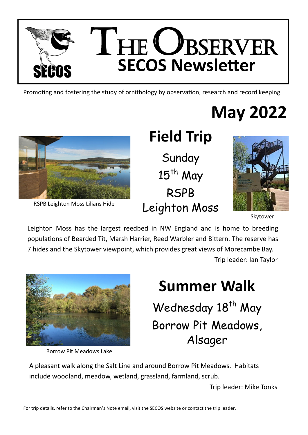

Promoting and fostering the study of ornithology by observation, research and record keeping

# **May 2022**



RSPB Leighton Moss Lilians Hide

## **Field Trip** Sunday  $15<sup>th</sup>$  May RSPB Leighton Moss



Skytower

Leighton Moss has the largest reedbed in NW England and is home to breeding populations of Bearded Tit, Marsh Harrier, Reed Warbler and Bittern. The reserve has 7 hides and the Skytower viewpoint, which provides great views of Morecambe Bay. Trip leader: Ian Taylor



Borrow Pit Meadows Lake

## **Summer Walk** Wednesday 18<sup>th</sup> May Borrow Pit Meadows, Alsager

A pleasant walk along the Salt Line and around Borrow Pit Meadows. Habitats include woodland, meadow, wetland, grassland, farmland, scrub.

Trip leader: Mike Tonks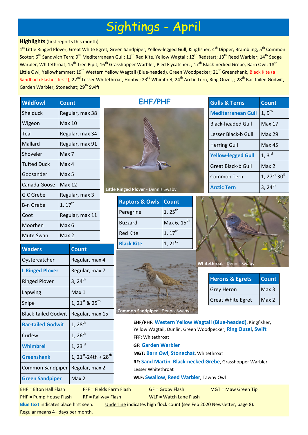### Sightings - April

#### **Highlights**(first reports this month)

1<sup>st</sup> Little Ringed Plover; Great White Egret, Green Sandpiper, Yellow-legged Gull, Kingfisher; 4<sup>th</sup> Dipper, Brambling; 5<sup>th</sup> Common Scoter; 6<sup>th</sup> Sandwich Tern; 9<sup>th</sup> Mediterranean Gull; 11<sup>th</sup> Red Kite, Yellow Wagtail; 12<sup>th</sup> Redstart; 13<sup>th</sup> Reed Warbler; 14<sup>th</sup> Sedge Warbler, Whitethroat; 15<sup>th</sup> Tree Pipit; 16<sup>th</sup> Grasshopper Warbler, Pied Flycatcher, ; 17<sup>th</sup> Black-necked Grebe, Barn Owl; 18<sup>th</sup> Little Owl, Yellowhammer; 19<sup>th</sup> Western Yellow Wagtail (Blue-headed), Green Woodpecker; 21<sup>st</sup> Greenshank, Black Kite (a Sandbach Flashes first!); 22<sup>nd</sup> Lesser Whitethroat, Hobby ; 23<sup>rd</sup> Whimbrel; 24<sup>th</sup> Arctic Tern, Ring Ouzel, ; 28<sup>th</sup> Bar-tailed Godwit, Garden Warbler, Stonechat; 29<sup>th</sup> Swift

**EHF/PHF**

| <b>Wildfowl</b>    | <b>Count</b>         |
|--------------------|----------------------|
| Shelduck           | Regular, max 38      |
| Wigeon             | Max 10               |
| Teal               | Regular, max 34      |
| Mallard            | Regular, max 91      |
| Shoveler           | Max 7                |
| <b>Tufted Duck</b> | Max 4                |
| Goosander          | Max 5                |
| Canada Goose       | Max <sub>12</sub>    |
| G C Grebe          | Regular, max 3       |
| B-n Grebe          | $1,17^{\mathsf{th}}$ |
| Coot               | Regular, max 11      |
| Moorhen            | Max 6                |
| Mute Swan          | Max 2                |

| <b>Waders</b>              | <b>Count</b>                                 |
|----------------------------|----------------------------------------------|
| Oystercatcher              | Regular, max 4                               |
| <b>L Ringed Plover</b>     | Regular, max 7                               |
| <b>Ringed Plover</b>       | $3, 24^{th}$                                 |
| Lapwing                    | Max 1                                        |
| Snipe                      | 1, 21st & 25 <sup>th</sup>                   |
| <b>Black-tailed Godwit</b> | Regular, max 15                              |
| <b>Bar-tailed Godwit</b>   | $1,28^{th}$                                  |
| Curlew                     | $1, 26^{th}$                                 |
| Whimbrel                   | $1, 23^{rd}$                                 |
| <b>Greenshank</b>          | 1, 21 <sup>st</sup> -24th + 28 <sup>th</sup> |
| Common Sandpiper           | Regular, max 2                               |
| <b>Green Sandpiper</b>     | Max 2                                        |



**Little Ringed Plover** - Dennis Swaby

| <b>Raptors &amp; Owls Count</b> |                         |
|---------------------------------|-------------------------|
| Peregrine                       | $1, 25^{\text{th}}$     |
| <b>Buzzard</b>                  | Max 6, 15 <sup>th</sup> |
| <b>Red Kite</b>                 | $1, 17$ <sup>th</sup>   |
| <b>Black Kite</b>               | $1, 21^{st}$            |



| <b>Gulls &amp; Terns</b>  | <b>Count</b>                   |
|---------------------------|--------------------------------|
| <b>Mediterranean Gull</b> | $1, 9^{th}$                    |
| <b>Black-headed Gull</b>  | Max 17                         |
| Lesser Black-b Gull       | Max 29                         |
| <b>Herring Gull</b>       | Max 45                         |
| <b>Yellow-legged Gull</b> | $1, 3^{rd}$                    |
| Great Black-b Gull        | Max 2                          |
| Common Tern               | $1, 27^{th}$ -30 <sup>th</sup> |
| <b>Arctic Tern</b>        | $3, 24^{\text{th}}$            |



**Whitethroat** - Dennis S

| <b>Herons &amp; Egrets</b> | <b>Count</b>     |
|----------------------------|------------------|
| <b>Grey Heron</b>          | Max <sub>3</sub> |
| <b>Great White Egret</b>   | Max <sub>2</sub> |

**EHF/PHF: Western Yellow Wagtail (Blue-headed)**, Kingfisher, Yellow Wagtail, Dunlin, Green Woodpecker, **Ring Ouzel**, **Swift FFF:** Whitethroat **GF: Garden Warbler MGT: Barn Owl**, **Stonechat**, Whitethroat

**RF: Sand Martin**, **Black-necked Grebe**, Grasshopper Warbler, Lesser Whitethroat

**WLF: Swallow**, **Reed Warbler**, Tawny Owl

PHF = Pump House Flash RF = Railway Flash WLF = Watch Lane Flash

EHF = Elton Hall Flash FFF = Fields Farm Flash GF = Groby Flash MGT = Maw Green Tip

**Blue text** indicates place first seen. Underline indicates high flock count (see Feb 2020 Newsletter, page 8). Regular means 4+ days per month.